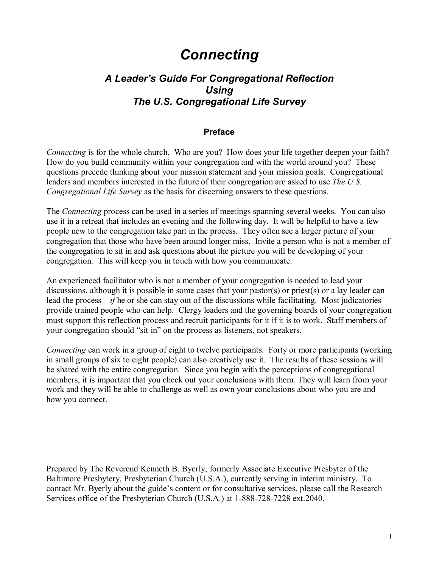# *Connecting*

## *A Leaderís Guide For Congregational Reflection Using The U.S. Congregational Life Survey*

#### **Preface**

*Connecting* is for the whole church. Who are you? How does your life together deepen your faith? How do you build community within your congregation and with the world around you? These questions precede thinking about your mission statement and your mission goals. Congregational leaders and members interested in the future of their congregation are asked to use *The U.S. Congregational Life Survey* as the basis for discerning answers to these questions.

The *Connecting* process can be used in a series of meetings spanning several weeks. You can also use it in a retreat that includes an evening and the following day. It will be helpful to have a few people new to the congregation take part in the process. They often see a larger picture of your congregation that those who have been around longer miss. Invite a person who is not a member of the congregation to sit in and ask questions about the picture you will be developing of your congregation. This will keep you in touch with how you communicate.

An experienced facilitator who is not a member of your congregation is needed to lead your discussions, although it is possible in some cases that your pastor(s) or priest(s) or a lay leader can lead the process  $-i f$  he or she can stay out of the discussions while facilitating. Most judicatories provide trained people who can help. Clergy leaders and the governing boards of your congregation must support this reflection process and recruit participants for it if it is to work. Staff members of your congregation should "sit in" on the process as listeners, not speakers.

*Connecting* can work in a group of eight to twelve participants. Forty or more participants (working in small groups of six to eight people) can also creatively use it. The results of these sessions will be shared with the entire congregation. Since you begin with the perceptions of congregational members, it is important that you check out your conclusions with them. They will learn from your work and they will be able to challenge as well as own your conclusions about who you are and how you connect.

Prepared by The Reverend Kenneth B. Byerly, formerly Associate Executive Presbyter of the Baltimore Presbytery, Presbyterian Church (U.S.A.), currently serving in interim ministry. To contact Mr. Byerly about the guide's content or for consultative services, please call the Research Services office of the Presbyterian Church (U.S.A.) at 1-888-728-7228 ext.2040.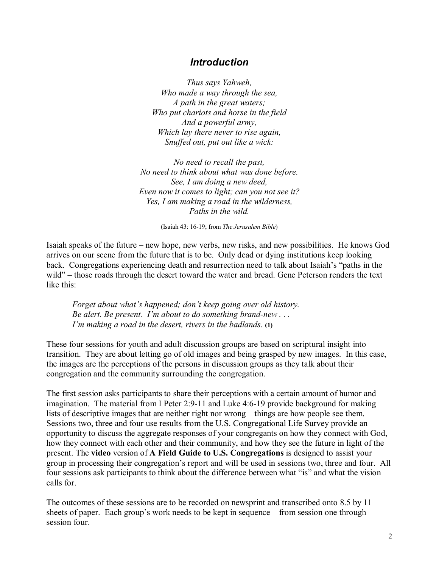### *Introduction*

*Thus says Yahweh, Who made a way through the sea, A path in the great waters; Who put chariots and horse in the field And a powerful army, Which lay there never to rise again, Snuffed out, put out like a wick:* 

*No need to recall the past, No need to think about what was done before. See, I am doing a new deed, Even now it comes to light; can you not see it? Yes, I am making a road in the wilderness, Paths in the wild.* 

(Isaiah 43: 16-19; from *The Jerusalem Bible*)

Isaiah speaks of the future – new hope, new verbs, new risks, and new possibilities. He knows God arrives on our scene from the future that is to be. Only dead or dying institutions keep looking back. Congregations experiencing death and resurrection need to talk about Isaiah's "paths in the wild" – those roads through the desert toward the water and bread. Gene Peterson renders the text like this:

*Forget about what's happened; don't keep going over old history. Be alert. Be present. Iím about to do something brand-new . . . Iím making a road in the desert, rivers in the badlands.* **(1)**

These four sessions for youth and adult discussion groups are based on scriptural insight into transition. They are about letting go of old images and being grasped by new images. In this case, the images are the perceptions of the persons in discussion groups as they talk about their congregation and the community surrounding the congregation.

The first session asks participants to share their perceptions with a certain amount of humor and imagination. The material from I Peter 2:9-11 and Luke 4:6-19 provide background for making lists of descriptive images that are neither right nor wrong – things are how people see them. Sessions two, three and four use results from the U.S. Congregational Life Survey provide an opportunity to discuss the aggregate responses of your congregants on how they connect with God, how they connect with each other and their community, and how they see the future in light of the present. The **video** version of **A Field Guide to U.S. Congregations** is designed to assist your group in processing their congregation's report and will be used in sessions two, three and four. All four sessions ask participants to think about the difference between what "is" and what the vision calls for.

The outcomes of these sessions are to be recorded on newsprint and transcribed onto 8.5 by 11 sheets of paper. Each group's work needs to be kept in sequence  $-$  from session one through session four.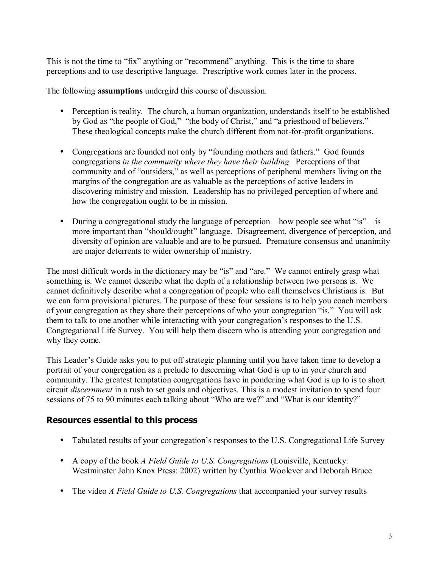This is not the time to "fix" anything or "recommend" anything. This is the time to share perceptions and to use descriptive language. Prescriptive work comes later in the process.

The following **assumptions** undergird this course of discussion.

- Perception is reality. The church, a human organization, understands itself to be established by God as "the people of God," "the body of Christ," and "a priesthood of believers." These theological concepts make the church different from not-for-profit organizations.
- Congregations are founded not only by "founding mothers and fathers." God founds congregations *in the community where they have their building.* Perceptions of that community and of "outsiders," as well as perceptions of peripheral members living on the margins of the congregation are as valuable as the perceptions of active leaders in discovering ministry and mission. Leadership has no privileged perception of where and how the congregation ought to be in mission.
- During a congregational study the language of perception how people see what "is" is more important than "should/ought" language. Disagreement, divergence of perception, and diversity of opinion are valuable and are to be pursued. Premature consensus and unanimity are major deterrents to wider ownership of ministry.

The most difficult words in the dictionary may be "is" and "are." We cannot entirely grasp what something is. We cannot describe what the depth of a relationship between two persons is. We cannot definitively describe what a congregation of people who call themselves Christians is. But we can form provisional pictures. The purpose of these four sessions is to help you coach members of your congregation as they share their perceptions of who your congregation "is." You will ask them to talk to one another while interacting with your congregation's responses to the U.S. Congregational Life Survey. You will help them discern who is attending your congregation and why they come.

This Leader's Guide asks you to put off strategic planning until you have taken time to develop a portrait of your congregation as a prelude to discerning what God is up to in your church and community. The greatest temptation congregations have in pondering what God is up to is to short circuit *discernment* in a rush to set goals and objectives. This is a modest invitation to spend four sessions of 75 to 90 minutes each talking about "Who are we?" and "What is our identity?"

## **Resources essential to this process**

- Tabulated results of your congregation's responses to the U.S. Congregational Life Survey
- A copy of the book *A Field Guide to U.S. Congregations* (Louisville, Kentucky: Westminster John Knox Press: 2002) written by Cynthia Woolever and Deborah Bruce
- The video *A Field Guide to U.S. Congregations* that accompanied your survey results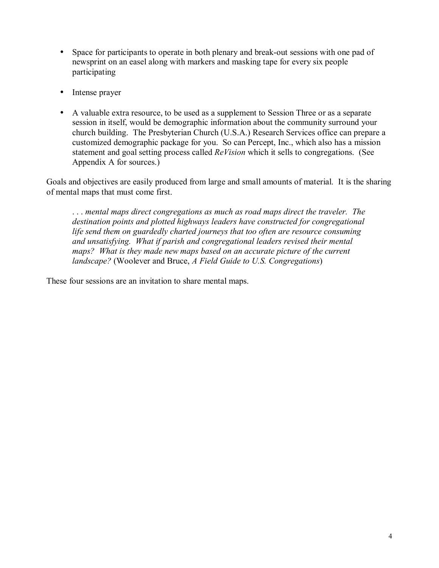- Space for participants to operate in both plenary and break-out sessions with one pad of newsprint on an easel along with markers and masking tape for every six people participating
- Intense prayer
- A valuable extra resource, to be used as a supplement to Session Three or as a separate session in itself, would be demographic information about the community surround your church building. The Presbyterian Church (U.S.A.) Research Services office can prepare a customized demographic package for you. So can Percept, Inc., which also has a mission statement and goal setting process called *ReVision* which it sells to congregations. (See Appendix A for sources.)

Goals and objectives are easily produced from large and small amounts of material. It is the sharing of mental maps that must come first.

 . . . *mental maps direct congregations as much as road maps direct the traveler. The destination points and plotted highways leaders have constructed for congregational life send them on guardedly charted journeys that too often are resource consuming and unsatisfying. What if parish and congregational leaders revised their mental maps? What is they made new maps based on an accurate picture of the current landscape?* (Woolever and Bruce, *A Field Guide to U.S. Congregations*)

These four sessions are an invitation to share mental maps.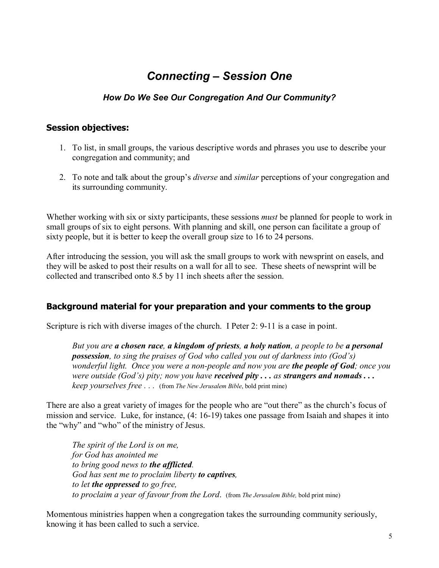## **Connecting - Session One**

## *How Do We See Our Congregation And Our Community?*

#### **Session objectives:**

- 1. To list, in small groups, the various descriptive words and phrases you use to describe your congregation and community; and
- 2. To note and talk about the group's *diverse* and *similar* perceptions of your congregation and its surrounding community.

Whether working with six or sixty participants, these sessions *must* be planned for people to work in small groups of six to eight persons. With planning and skill, one person can facilitate a group of sixty people, but it is better to keep the overall group size to 16 to 24 persons.

After introducing the session, you will ask the small groups to work with newsprint on easels, and they will be asked to post their results on a wall for all to see. These sheets of newsprint will be collected and transcribed onto 8.5 by 11 inch sheets after the session.

#### **Background material for your preparation and your comments to the group**

Scripture is rich with diverse images of the church. I Peter 2: 9-11 is a case in point.

*But you are a chosen race, a kingdom of priests, a holy nation, a people to be a personal*  **possession**, to sing the praises of God who called you out of darkness into (God's) *wonderful light. Once you were a non-people and now you are the people of God; once you were outside (God's) pity; now you have <i>received pity... as strangers and nomads... keep yourselves free . . .* (from *The New Jerusalem Bible*, bold print mine)

There are also a great variety of images for the people who are "out there" as the church's focus of mission and service. Luke, for instance, (4: 16-19) takes one passage from Isaiah and shapes it into the "why" and "who" of the ministry of Jesus.

*The spirit of the Lord is on me, for God has anointed me to bring good news to the afflicted. God has sent me to proclaim liberty to captives, to let the oppressed to go free, to proclaim a year of favour from the Lord*. (from *The Jerusalem Bible,* bold print mine)

Momentous ministries happen when a congregation takes the surrounding community seriously, knowing it has been called to such a service.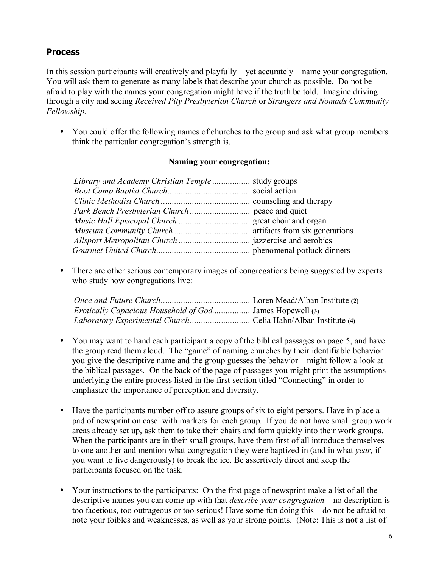#### **Process**

In this session participants will creatively and playfully  $-$  yet accurately  $-$  name your congregation. You will ask them to generate as many labels that describe your church as possible. Do not be afraid to play with the names your congregation might have if the truth be told. Imagine driving through a city and seeing *Received Pity Presbyterian Church* or *Strangers and Nomads Community Fellowship.*

• You could offer the following names of churches to the group and ask what group members think the particular congregation's strength is.

#### **Naming your congregation:**

| Library and Academy Christian Temple study groups |  |
|---------------------------------------------------|--|
|                                                   |  |
|                                                   |  |
|                                                   |  |
|                                                   |  |
|                                                   |  |
|                                                   |  |
|                                                   |  |

• There are other serious contemporary images of congregations being suggested by experts who study how congregations live:

| <i>Erotically Capacious Household of God</i> James Hopewell (3) |  |
|-----------------------------------------------------------------|--|
|                                                                 |  |

- You may want to hand each participant a copy of the biblical passages on page 5, and have the group read them aloud. The "game" of naming churches by their identifiable behavior  $$ you give the descriptive name and the group guesses the behavior  $-$  might follow a look at the biblical passages. On the back of the page of passages you might print the assumptions underlying the entire process listed in the first section titled "Connecting" in order to emphasize the importance of perception and diversity.
- Have the participants number off to assure groups of six to eight persons. Have in place a pad of newsprint on easel with markers for each group. If you do not have small group work areas already set up, ask them to take their chairs and form quickly into their work groups. When the participants are in their small groups, have them first of all introduce themselves to one another and mention what congregation they were baptized in (and in what *year,* if you want to live dangerously) to break the ice. Be assertively direct and keep the participants focused on the task.
- Your instructions to the participants: On the first page of newsprint make a list of all the descriptive names you can come up with that *describe your congregation* – no description is too facetious, too outrageous or too serious! Have some fun doing this  $-$  do not be afraid to note your foibles and weaknesses, as well as your strong points. (Note: This is **not** a list of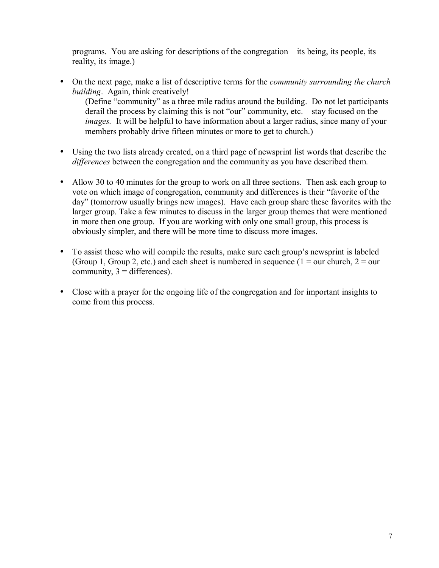programs. You are asking for descriptions of the congregation  $-$  its being, its people, its reality, its image.)

• On the next page, make a list of descriptive terms for the *community surrounding the church building*. Again, think creatively!

(Define "community" as a three mile radius around the building. Do not let participants derail the process by claiming this is not "our" community, etc.  $-$  stay focused on the *images.* It will be helpful to have information about a larger radius, since many of your members probably drive fifteen minutes or more to get to church.)

- Using the two lists already created, on a third page of newsprint list words that describe the *differences* between the congregation and the community as you have described them.
- Allow 30 to 40 minutes for the group to work on all three sections. Then ask each group to vote on which image of congregation, community and differences is their "favorite of the day" (tomorrow usually brings new images). Have each group share these favorites with the larger group. Take a few minutes to discuss in the larger group themes that were mentioned in more then one group. If you are working with only one small group, this process is obviously simpler, and there will be more time to discuss more images.
- To assist those who will compile the results, make sure each group's newsprint is labeled (Group 1, Group 2, etc.) and each sheet is numbered in sequence ( $1 =$  our church,  $2 =$  our community,  $3 =$  differences).
- Close with a prayer for the ongoing life of the congregation and for important insights to come from this process.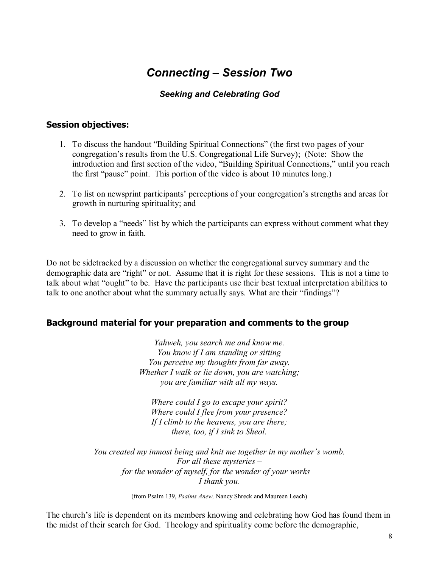# **Connecting – Session Two**

### *Seeking and Celebrating God*

#### **Session objectives:**

- 1. To discuss the handout "Building Spiritual Connections" (the first two pages of your congregation's results from the U.S. Congregational Life Survey); (Note: Show the introduction and first section of the video, "Building Spiritual Connections," until you reach the first "pause" point. This portion of the video is about 10 minutes long.)
- 2. To list on newsprint participants' perceptions of your congregation's strengths and areas for growth in nurturing spirituality; and
- 3. To develop a "needs" list by which the participants can express without comment what they need to grow in faith.

Do not be sidetracked by a discussion on whether the congregational survey summary and the demographic data are "right" or not. Assume that it is right for these sessions. This is not a time to talk about what "ought" to be. Have the participants use their best textual interpretation abilities to talk to one another about what the summary actually says. What are their "findings"?

#### **Background material for your preparation and comments to the group**

*Yahweh, you search me and know me. You know if I am standing or sitting You perceive my thoughts from far away. Whether I walk or lie down, you are watching; you are familiar with all my ways.* 

*Where could I go to escape your spirit? Where could I flee from your presence? If I climb to the heavens, you are there; there, too, if I sink to Sheol.* 

*You created my inmost being and knit me together in my mother's womb. For all these mysteries – for the wonder of myself, for the wonder of your works -I thank you.* 

(from Psalm 139, *Psalms Anew,* Nancy Shreck and Maureen Leach)

The church's life is dependent on its members knowing and celebrating how God has found them in the midst of their search for God. Theology and spirituality come before the demographic,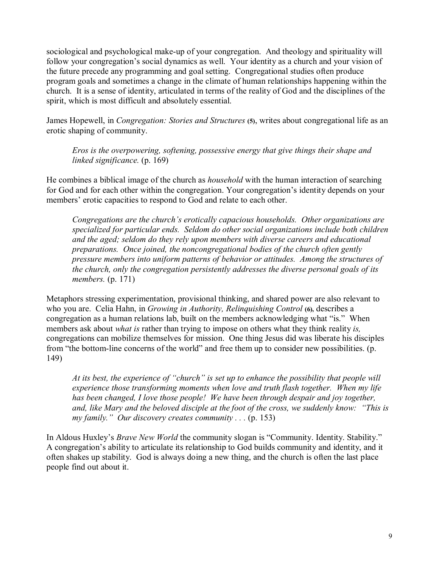sociological and psychological make-up of your congregation. And theology and spirituality will follow your congregation's social dynamics as well. Your identity as a church and your vision of the future precede any programming and goal setting. Congregational studies often produce program goals and sometimes a change in the climate of human relationships happening within the church. It is a sense of identity, articulated in terms of the reality of God and the disciplines of the spirit, which is most difficult and absolutely essential.

James Hopewell, in *Congregation: Stories and Structures* **(5)**, writes about congregational life as an erotic shaping of community.

*Eros is the overpowering, softening, possessive energy that give things their shape and linked significance.* (p. 169)

He combines a biblical image of the church as *household* with the human interaction of searching for God and for each other within the congregation. Your congregation's identity depends on your members' erotic capacities to respond to God and relate to each other.

*Congregations are the church's erotically capacious households. Other organizations are specialized for particular ends. Seldom do other social organizations include both children and the aged; seldom do they rely upon members with diverse careers and educational preparations. Once joined, the noncongregational bodies of the church often gently pressure members into uniform patterns of behavior or attitudes. Among the structures of the church, only the congregation persistently addresses the diverse personal goals of its members.* (p. 171)

Metaphors stressing experimentation, provisional thinking, and shared power are also relevant to who you are. Celia Hahn, in *Growing in Authority, Relinguishing Control* (6), describes a congregation as a human relations lab, built on the members acknowledging what "is." When members ask about *what is* rather than trying to impose on others what they think reality *is,*  congregations can mobilize themselves for mission. One thing Jesus did was liberate his disciples from "the bottom-line concerns of the world" and free them up to consider new possibilities. (p. 149)

*At its best, the experience of "church" is set up to enhance the possibility that people will experience those transforming moments when love and truth flash together. When my life has been changed, I love those people! We have been through despair and joy together, and, like Mary and the beloved disciple at the foot of the cross, we suddenly know: "This is my family.*" *Our discovery creates community . . .* (p. 153)

In Aldous Huxley's *Brave New World* the community slogan is "Community. Identity. Stability." A congregation's ability to articulate its relationship to God builds community and identity, and it often shakes up stability. God is always doing a new thing, and the church is often the last place people find out about it.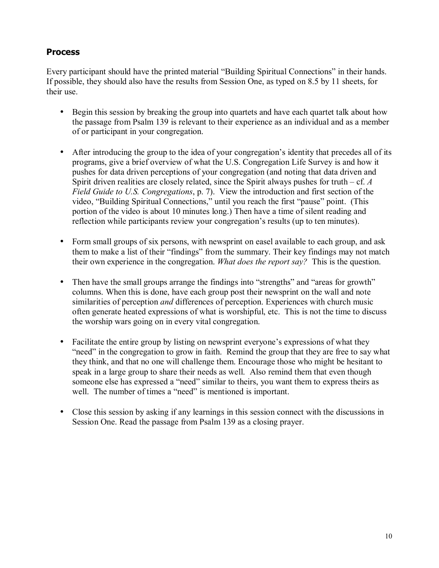### **Process**

Every participant should have the printed material "Building Spiritual Connections" in their hands. If possible, they should also have the results from Session One, as typed on 8.5 by 11 sheets, for their use.

- Begin this session by breaking the group into quartets and have each quartet talk about how the passage from Psalm 139 is relevant to their experience as an individual and as a member of or participant in your congregation.
- After introducing the group to the idea of your congregation's identity that precedes all of its programs, give a brief overview of what the U.S. Congregation Life Survey is and how it pushes for data driven perceptions of your congregation (and noting that data driven and Spirit driven realities are closely related, since the Spirit always pushes for truth  $- c f$ . *A Field Guide to U.S. Congregations*, p. 7). View the introduction and first section of the video, "Building Spiritual Connections," until you reach the first "pause" point. (This portion of the video is about 10 minutes long.) Then have a time of silent reading and reflection while participants review your congregation's results (up to ten minutes).
- Form small groups of six persons, with newsprint on easel available to each group, and ask them to make a list of their "findings" from the summary. Their key findings may not match their own experience in the congregation. *What does the report say?* This is the question.
- Then have the small groups arrange the findings into "strengths" and "areas for growth" columns. When this is done, have each group post their newsprint on the wall and note similarities of perception *and* differences of perception. Experiences with church music often generate heated expressions of what is worshipful, etc. This is not the time to discuss the worship wars going on in every vital congregation.
- Facilitate the entire group by listing on newsprint everyone's expressions of what they "need" in the congregation to grow in faith. Remind the group that they are free to say what they think, and that no one will challenge them. Encourage those who might be hesitant to speak in a large group to share their needs as well. Also remind them that even though someone else has expressed a "need" similar to theirs, you want them to express theirs as well. The number of times a "need" is mentioned is important.
- Close this session by asking if any learnings in this session connect with the discussions in Session One. Read the passage from Psalm 139 as a closing prayer.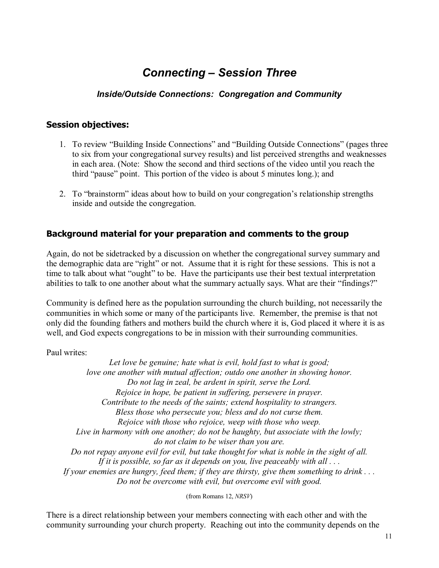# **Connecting – Session Three**

## *Inside/Outside Connections: Congregation and Community*

#### **Session objectives:**

- 1. To review "Building Inside Connections" and "Building Outside Connections" (pages three to six from your congregational survey results) and list perceived strengths and weaknesses in each area. (Note: Show the second and third sections of the video until you reach the third "pause" point. This portion of the video is about 5 minutes long.); and
- 2. To "brainstorm" ideas about how to build on your congregation's relationship strengths inside and outside the congregation.

### **Background material for your preparation and comments to the group**

Again, do not be sidetracked by a discussion on whether the congregational survey summary and the demographic data are "right" or not. Assume that it is right for these sessions. This is not a time to talk about what "ought" to be. Have the participants use their best textual interpretation abilities to talk to one another about what the summary actually says. What are their "findings?"

Community is defined here as the population surrounding the church building, not necessarily the communities in which some or many of the participants live. Remember, the premise is that not only did the founding fathers and mothers build the church where it is, God placed it where it is as well, and God expects congregations to be in mission with their surrounding communities.

Paul writes:

*Let love be genuine; hate what is evil, hold fast to what is good; love one another with mutual affection; outdo one another in showing honor. Do not lag in zeal, be ardent in spirit, serve the Lord. Rejoice in hope, be patient in suffering, persevere in prayer. Contribute to the needs of the saints; extend hospitality to strangers. Bless those who persecute you; bless and do not curse them. Rejoice with those who rejoice, weep with those who weep. Live in harmony with one another; do not be haughty, but associate with the lowly; do not claim to be wiser than you are. Do not repay anyone evil for evil, but take thought for what is noble in the sight of all. If it is possible, so far as it depends on you, live peaceably with all . . . If your enemies are hungry, feed them; if they are thirsty, give them something to drink . . . Do not be overcome with evil, but overcome evil with good.* 

(from Romans 12, *NRSV*)

There is a direct relationship between your members connecting with each other and with the community surrounding your church property. Reaching out into the community depends on the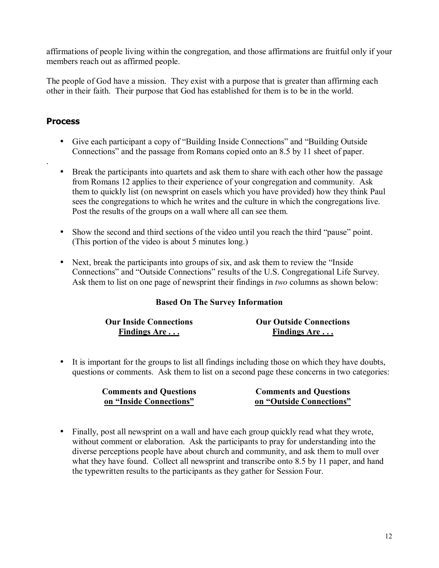affirmations of people living within the congregation, and those affirmations are fruitful only if your members reach out as affirmed people.

The people of God have a mission. They exist with a purpose that is greater than affirming each other in their faith. Their purpose that God has established for them is to be in the world.

### **Process**

.

- Give each participant a copy of "Building Inside Connections" and "Building Outside" Connections" and the passage from Romans copied onto an 8.5 by 11 sheet of paper.
- Break the participants into quartets and ask them to share with each other how the passage from Romans 12 applies to their experience of your congregation and community. Ask them to quickly list (on newsprint on easels which you have provided) how they think Paul sees the congregations to which he writes and the culture in which the congregations live. Post the results of the groups on a wall where all can see them.
- Show the second and third sections of the video until you reach the third "pause" point. (This portion of the video is about 5 minutes long.)
- Next, break the participants into groups of six, and ask them to review the  $\cdot$ Inside Connections" and "Outside Connections" results of the U.S. Congregational Life Survey. Ask them to list on one page of newsprint their findings in *two* columns as shown below:

#### **Based On The Survey Information**

| <b>Our Inside Connections</b> | <b>Our Outside Connections</b> |
|-------------------------------|--------------------------------|
| Findings Are                  | Findings Are                   |

• It is important for the groups to list all findings including those on which they have doubts, questions or comments. Ask them to list on a second page these concerns in two categories:

| <b>Comments and Questions</b> | <b>Comments and Questions</b> |
|-------------------------------|-------------------------------|
| on "Inside Connections"       | on "Outside Connections"      |

• Finally, post all newsprint on a wall and have each group quickly read what they wrote, without comment or elaboration. Ask the participants to pray for understanding into the diverse perceptions people have about church and community, and ask them to mull over what they have found. Collect all newsprint and transcribe onto 8.5 by 11 paper, and hand the typewritten results to the participants as they gather for Session Four.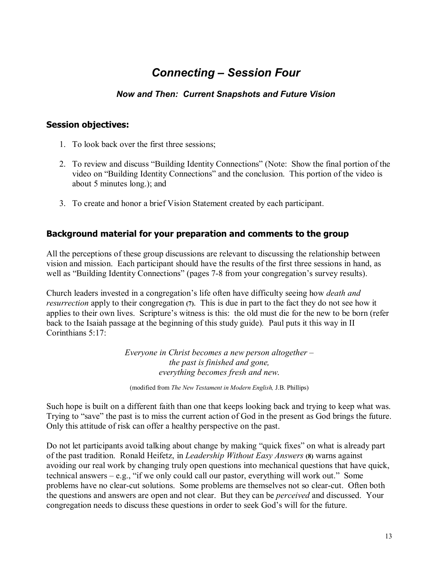## **Connecting – Session Four**

### *Now and Then: Current Snapshots and Future Vision*

#### **Session objectives:**

- 1. To look back over the first three sessions;
- 2. To review and discuss "Building Identity Connections" (Note: Show the final portion of the video on "Building Identity Connections" and the conclusion. This portion of the video is about 5 minutes long.); and
- 3. To create and honor a brief Vision Statement created by each participant.

#### **Background material for your preparation and comments to the group**

All the perceptions of these group discussions are relevant to discussing the relationship between vision and mission. Each participant should have the results of the first three sessions in hand, as well as "Building Identity Connections" (pages 7-8 from your congregation's survey results).

Church leaders invested in a congregation's life often have difficulty seeing how *death and resurrection* apply to their congregation **(7)**. This is due in part to the fact they do not see how it applies to their own lives. Scripture's witness is this: the old must die for the new to be born (refer back to the Isaiah passage at the beginning of this study guide)*.* Paul puts it this way in II Corinthians 5:17:

> *Everyone in Christ becomes a new person altogether – the past is finished and gone, everything becomes fresh and new*.

(modified from *The New Testament in Modern English,* J.B. Phillips)

Such hope is built on a different faith than one that keeps looking back and trying to keep what was. Trying to "save" the past is to miss the current action of God in the present as God brings the future. Only this attitude of risk can offer a healthy perspective on the past.

Do not let participants avoid talking about change by making "quick fixes" on what is already part of the past tradition. Ronald Heifetz, in *Leadership Without Easy Answers* **(8)** warns against avoiding our real work by changing truly open questions into mechanical questions that have quick, technical answers  $-e.g.,$  "if we only could call our pastor, everything will work out." Some problems have no clear-cut solutions. Some problems are themselves not so clear-cut. Often both the questions and answers are open and not clear. But they can be *perceived* and discussed. Your congregation needs to discuss these questions in order to seek God's will for the future.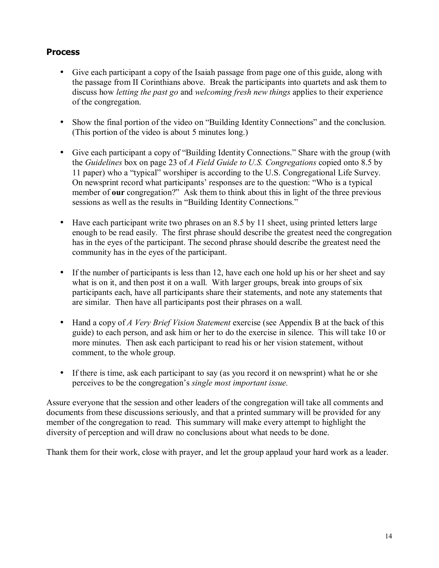#### **Process**

- Give each participant a copy of the Isaiah passage from page one of this guide, along with the passage from II Corinthians above. Break the participants into quartets and ask them to discuss how *letting the past go* and *welcoming fresh new things* applies to their experience of the congregation.
- Show the final portion of the video on "Building Identity Connections" and the conclusion. (This portion of the video is about 5 minutes long.)
- Give each participant a copy of "Building Identity Connections." Share with the group (with the *Guidelines* box on page 23 of *A Field Guide to U.S. Congregations* copied onto 8.5 by 11 paper) who a "typical" worshiper is according to the U.S. Congregational Life Survey. On newsprint record what participants' responses are to the question: "Who is a typical member of **our** congregation?" Ask them to think about this in light of the three previous sessions as well as the results in "Building Identity Connections."
- Have each participant write two phrases on an 8.5 by 11 sheet, using printed letters large enough to be read easily. The first phrase should describe the greatest need the congregation has in the eyes of the participant. The second phrase should describe the greatest need the community has in the eyes of the participant.
- If the number of participants is less than 12, have each one hold up his or her sheet and say what is on it, and then post it on a wall. With larger groups, break into groups of six participants each, have all participants share their statements, and note any statements that are similar. Then have all participants post their phrases on a wall.
- Hand a copy of *A Very Brief Vision Statement* exercise (see Appendix B at the back of this guide) to each person, and ask him or her to do the exercise in silence. This will take 10 or more minutes. Then ask each participant to read his or her vision statement, without comment, to the whole group.
- If there is time, ask each participant to say (as you record it on newsprint) what he or she perceives to be the congregation's *single most important issue*.

Assure everyone that the session and other leaders of the congregation will take all comments and documents from these discussions seriously, and that a printed summary will be provided for any member of the congregation to read. This summary will make every attempt to highlight the diversity of perception and will draw no conclusions about what needs to be done.

Thank them for their work, close with prayer, and let the group applaud your hard work as a leader.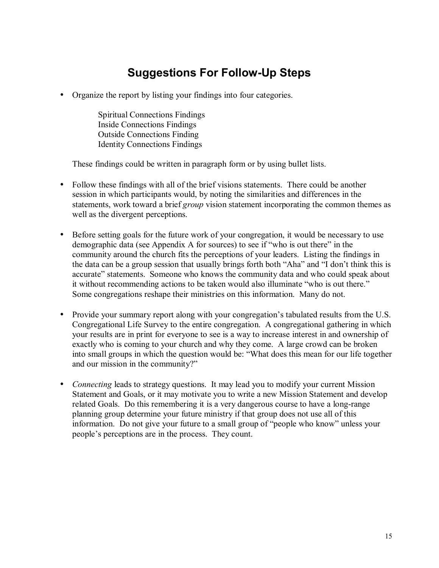## **Suggestions For Follow-Up Steps**

• Organize the report by listing your findings into four categories.

Spiritual Connections Findings Inside Connections Findings Outside Connections Finding Identity Connections Findings

These findings could be written in paragraph form or by using bullet lists.

- Follow these findings with all of the brief visions statements. There could be another session in which participants would, by noting the similarities and differences in the statements, work toward a brief *group* vision statement incorporating the common themes as well as the divergent perceptions.
- Before setting goals for the future work of your congregation, it would be necessary to use demographic data (see Appendix A for sources) to see if "who is out there" in the community around the church fits the perceptions of your leaders. Listing the findings in the data can be a group session that usually brings forth both "Aha" and "I don't think this is accurate" statements. Someone who knows the community data and who could speak about it without recommending actions to be taken would also illuminate "who is out there." Some congregations reshape their ministries on this information. Many do not.
- Provide your summary report along with your congregation's tabulated results from the U.S. Congregational Life Survey to the entire congregation. A congregational gathering in which your results are in print for everyone to see is a way to increase interest in and ownership of exactly who is coming to your church and why they come. A large crowd can be broken into small groups in which the question would be: "What does this mean for our life together and our mission in the community?"
- *Connecting leads to strategy questions.* It may lead you to modify your current Mission Statement and Goals, or it may motivate you to write a new Mission Statement and develop related Goals. Do this remembering it is a very dangerous course to have a long-range planning group determine your future ministry if that group does not use all of this information. Do not give your future to a small group of "people who know" unless your people's perceptions are in the process. They count.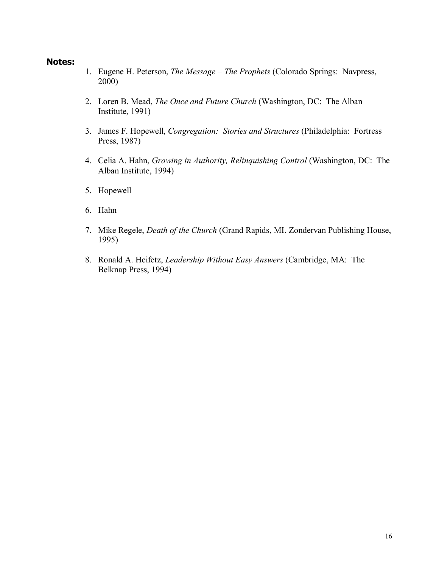#### **Notes:**

- 1. Eugene H. Peterson, *The Message The Prophets* (Colorado Springs: Navpress, 2000)
- 2. Loren B. Mead, *The Once and Future Church* (Washington, DC: The Alban Institute, 1991)
- 3. James F. Hopewell, *Congregation: Stories and Structures* (Philadelphia: Fortress Press, 1987)
- 4. Celia A. Hahn, *Growing in Authority, Relinquishing Control* (Washington, DC: The Alban Institute, 1994)
- 5. Hopewell
- 6. Hahn
- 7. Mike Regele, *Death of the Church* (Grand Rapids, MI. Zondervan Publishing House, 1995)
- 8. Ronald A. Heifetz, *Leadership Without Easy Answers* (Cambridge, MA: The Belknap Press, 1994)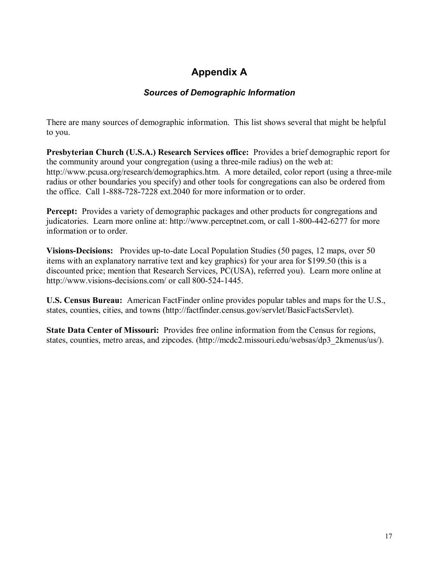## **Appendix A**

### *Sources of Demographic Information*

There are many sources of demographic information. This list shows several that might be helpful to you.

**Presbyterian Church (U.S.A.) Research Services office:** Provides a brief demographic report for the community around your congregation (using a three-mile radius) on the web at: http://www.pcusa.org/research/demographics.htm. A more detailed, color report (using a three-mile radius or other boundaries you specify) and other tools for congregations can also be ordered from the office. Call 1-888-728-7228 ext.2040 for more information or to order.

**Percept:** Provides a variety of demographic packages and other products for congregations and judicatories. Learn more online at: http://www.perceptnet.com, or call 1-800-442-6277 for more information or to order.

**Visions-Decisions:** Provides up-to-date Local Population Studies (50 pages, 12 maps, over 50 items with an explanatory narrative text and key graphics) for your area for \$199.50 (this is a discounted price; mention that Research Services, PC(USA), referred you). Learn more online at http://www.visions-decisions.com/ or call 800-524-1445.

**U.S. Census Bureau:** American FactFinder online provides popular tables and maps for the U.S., states, counties, cities, and towns (http://factfinder.census.gov/servlet/BasicFactsServlet).

**State Data Center of Missouri:** Provides free online information from the Census for regions, states, counties, metro areas, and zipcodes. (http://mcdc2.missouri.edu/websas/dp3\_2kmenus/us/).